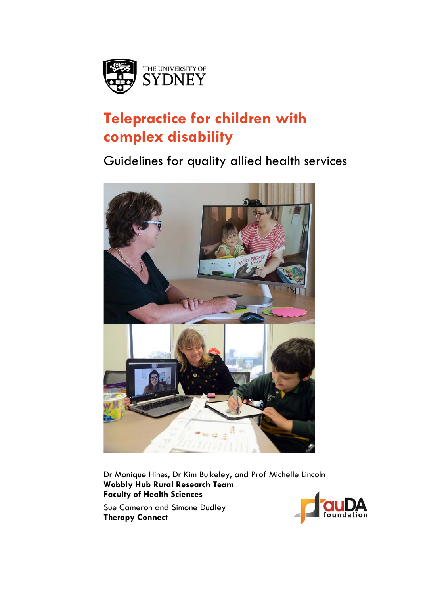

# **Telepractice for children with complex disability**

Guidelines for quality allied health services



Dr Monique Hines, Dr Kim Bulkeley, and Prof Michelle Lincoln **Wobbly Hub Rural Research Team Faculty of Health Sciences**

Sue Cameron and Simone Dudley **Therapy Connect**

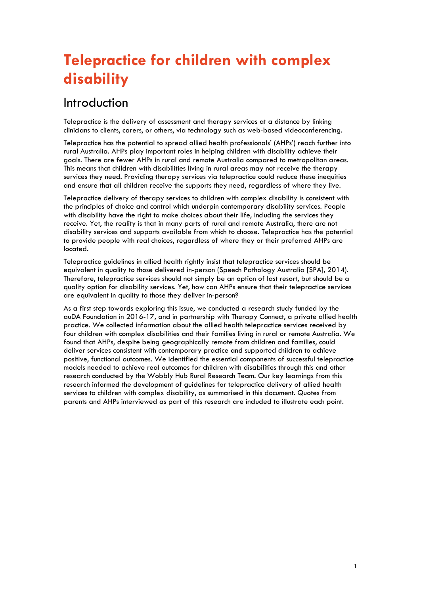# **Telepractice for children with complex disability**

#### Introduction

Telepractice is the delivery of assessment and therapy services at a distance by linking clinicians to clients, carers, or others, via technology such as web-based videoconferencing.

Telepractice has the potential to spread allied health professionals' (AHPs') reach further into rural Australia. AHPs play important roles in helping children with disability achieve their goals. There are fewer AHPs in rural and remote Australia compared to metropolitan areas. This means that children with disabilities living in rural areas may not receive the therapy services they need. Providing therapy services via telepractice could reduce these inequities and ensure that all children receive the supports they need, regardless of where they live.

Telepractice delivery of therapy services to children with complex disability is consistent with the principles of choice and control which underpin contemporary disability services. People with disability have the right to make choices about their life, including the services they receive. Yet, the reality is that in many parts of rural and remote Australia, there are not disability services and supports available from which to choose. Telepractice has the potential to provide people with real choices, regardless of where they or their preferred AHPs are located.

Telepractice guidelines in allied health rightly insist that telepractice services should be equivalent in quality to those delivered in-person (Speech Pathology Australia [SPA], 2014). Therefore, telepractice services should not simply be an option of last resort, but should be a quality option for disability services. Yet, how can AHPs ensure that their telepractice services are equivalent in quality to those they deliver in-person?

As a first step towards exploring this issue, we conducted a research study funded by the auDA Foundation in 2016-17, and in partnership with Therapy Connect, a private allied health practice. We collected information about the allied health telepractice services received by four children with complex disabilities and their families living in rural or remote Australia. We found that AHPs, despite being geographically remote from children and families, could deliver services consistent with contemporary practice and supported children to achieve positive, functional outcomes. We identified the essential components of successful telepractice models needed to achieve real outcomes for children with disabilities through this and other research conducted by the Wobbly Hub Rural Research Team. Our key learnings from this research informed the development of guidelines for telepractice delivery of allied health services to children with complex disability, as summarised in this document. Quotes from parents and AHPs interviewed as part of this research are included to illustrate each point.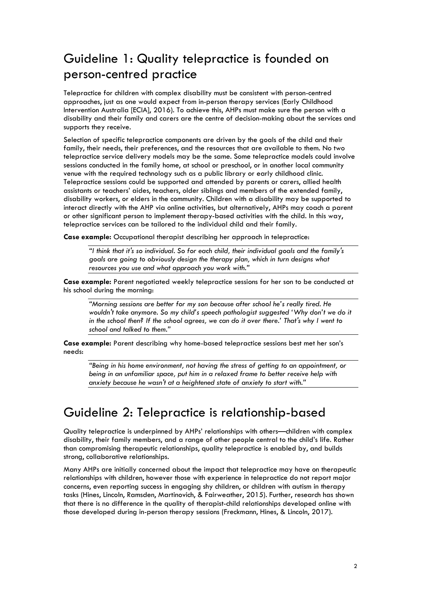# Guideline 1: Quality telepractice is founded on person-centred practice

Telepractice for children with complex disability must be consistent with person-centred approaches, just as one would expect from in-person therapy services (Early Childhood Intervention Australia [ECIA], 2016). To achieve this, AHPs must make sure the person with a disability and their family and carers are the centre of decision-making about the services and supports they receive.

Selection of specific telepractice components are driven by the goals of the child and their family, their needs, their preferences, and the resources that are available to them. No two telepractice service delivery models may be the same. Some telepractice models could involve sessions conducted in the family home, at school or preschool, or in another local community venue with the required technology such as a public library or early childhood clinic. Telepractice sessions could be supported and attended by parents or carers, allied health assistants or teachers' aides, teachers, older siblings and members of the extended family, disability workers, or elders in the community. Children with a disability may be supported to interact directly with the AHP via online activities, but alternatively, AHPs may coach a parent or other significant person to implement therapy-based activities with the child. In this way, telepractice services can be tailored to the individual child and their family.

**Case example:** Occupational therapist describing her approach in telepractice:

*"I think that it's so individual. So for each child, their individual goals and the family's goals are going to obviously design the therapy plan, which in turn designs what resources you use and what approach you work with."*

**Case example:** Parent negotiated weekly telepractice sessions for her son to be conducted at his school during the morning:

*"Morning sessions are better for my son because after school he's really tired. He wouldn't take anymore. So my child's speech pathologist suggested 'Why don't we do it in the school then? If the school agrees, we can do it over there.' That's why I went to school and talked to them."*

**Case example:** Parent describing why home-based telepractice sessions best met her son's needs:

*"Being in his home environment, not having the stress of getting to an appointment, or being in an unfamiliar space, put him in a relaxed frame to better receive help with anxiety because he wasn't at a heightened state of anxiety to start with."*

#### Guideline 2: Telepractice is relationship-based

Quality telepractice is underpinned by AHPs' relationships with others—children with complex disability, their family members, and a range of other people central to the child's life. Rather than compromising therapeutic relationships, quality telepractice is enabled by, and builds strong, collaborative relationships.

Many AHPs are initially concerned about the impact that telepractice may have on therapeutic relationships with children, however those with experience in telepractice do not report major concerns, even reporting success in engaging shy children, or children with autism in therapy tasks (Hines, Lincoln, Ramsden, Martinovich, & Fairweather, 2015). Further, research has shown that there is no difference in the quality of therapist-child relationships developed online with those developed during in-person therapy sessions (Freckmann, Hines, & Lincoln, 2017).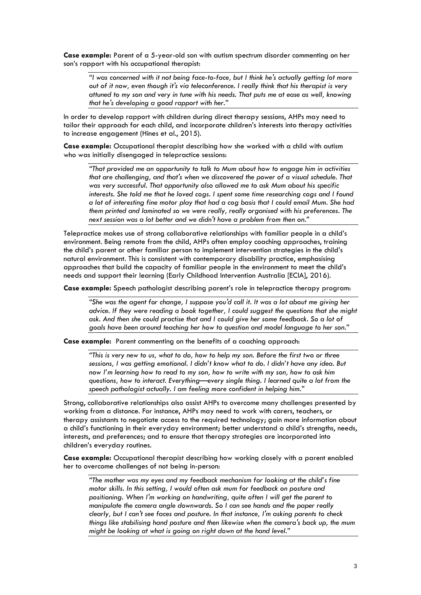**Case example:** Parent of a 5-year-old son with autism spectrum disorder commenting on her son's rapport with his occupational therapist:

*"I was concerned with it not being face-to-face, but I think he's actually getting lot more out of it now, even though it's via teleconference. I really think that his therapist is very attuned to my son and very in tune with his needs. That puts me at ease as well, knowing that he's developing a good rapport with her."* 

In order to develop rapport with children during direct therapy sessions, AHPs may need to tailor their approach for each child, and incorporate children's interests into therapy activities to increase engagement (Hines et al., 2015).

**Case example:** Occupational therapist describing how she worked with a child with autism who was initially disengaged in telepractice sessions:

*"That provided me an opportunity to talk to Mum about how to engage him in activities that are challenging, and that's when we discovered the power of a visual schedule. That was very successful. That opportunity also allowed me to ask Mum about his specific interests. She told me that he loved cogs. I spent some time researching cogs and I found a lot of interesting fine motor play that had a cog basis that I could email Mum. She had them printed and laminated so we were really, really organised with his preferences. The next session was a lot better and we didn't have a problem from then on."*

Telepractice makes use of strong collaborative relationships with familiar people in a child's environment. Being remote from the child, AHPs often employ coaching approaches, training the child's parent or other familiar person to implement intervention strategies in the child's natural environment. This is consistent with contemporary disability practice, emphasising approaches that build the capacity of familiar people in the environment to meet the child's needs and support their learning (Early Childhood Intervention Australia [ECIA], 2016).

**Case example:** Speech pathologist describing parent's role in telepractice therapy program:

*"She was the agent for change, I suppose you'd call it. It was a lot about me giving her advice. If they were reading a book together, I could suggest the questions that she might ask. And then she could practise that and I could give her some feedback. So a lot of goals have been around teaching her how to question and model language to her son."*

**Case example:** Parent commenting on the benefits of a coaching approach:

*"This is very new to us, what to do, how to help my son. Before the first two or three sessions, I was getting emotional. I didn't know what to do. I didn't have any idea. But now I'm learning how to read to my son, how to write with my son, how to ask him questions, how to interact. Everything—every single thing. I learned quite a lot from the speech pathologist actually. I am feeling more confident in helping him."*

Strong, collaborative relationships also assist AHPs to overcome many challenges presented by working from a distance. For instance, AHPs may need to work with carers, teachers, or therapy assistants to negotiate access to the required technology; gain more information about a child's functioning in their everyday environment; better understand a child's strengths, needs, interests, and preferences; and to ensure that therapy strategies are incorporated into children's everyday routines.

**Case example:** Occupational therapist describing how working closely with a parent enabled her to overcome challenges of not being in-person:

*"The mother was my eyes and my feedback mechanism for looking at the child's fine motor skills. In this setting, I would often ask mum for feedback on posture and positioning. When I'm working on handwriting, quite often I will get the parent to manipulate the camera angle downwards. So I can see hands and the paper really clearly, but I can't see faces and posture. In that instance, I'm asking parents to check things like stabilising hand posture and then likewise when the camera's back up, the mum might be looking at what is going on right down at the hand level."*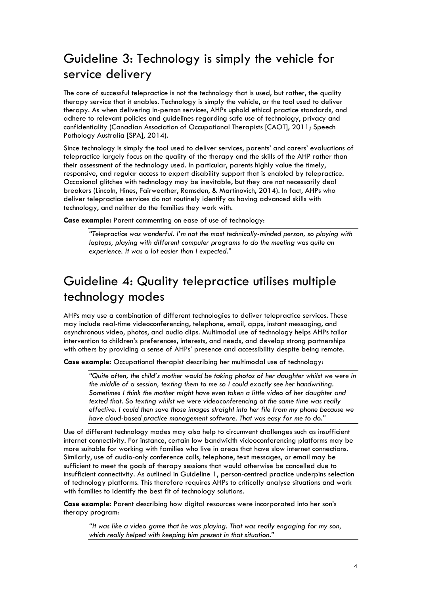# Guideline 3: Technology is simply the vehicle for service delivery

The core of successful telepractice is not the technology that is used, but rather, the quality therapy service that it enables. Technology is simply the vehicle, or the tool used to deliver therapy. As when delivering in-person services, AHPs uphold ethical practice standards, and adhere to relevant policies and guidelines regarding safe use of technology, privacy and confidentiality (Canadian Association of Occupational Therapists [CAOT], 2011; Speech Pathology Australia [SPA], 2014).

Since technology is simply the tool used to deliver services, parents' and carers' evaluations of telepractice largely focus on the quality of the therapy and the skills of the AHP rather than their assessment of the technology used. In particular, parents highly value the timely, responsive, and regular access to expert disability support that is enabled by telepractice. Occasional glitches with technology may be inevitable, but they are not necessarily deal breakers (Lincoln, Hines, Fairweather, Ramsden, & Martinovich, 2014). In fact, AHPs who deliver telepractice services do not routinely identify as having advanced skills with technology, and neither do the families they work with.

**Case example:** Parent commenting on ease of use of technology:

*"Telepractice was wonderful. I'm not the most technically-minded person, so playing with laptops, playing with different computer programs to do the meeting was quite an experience. It was a lot easier than I expected."*

# Guideline 4: Quality telepractice utilises multiple technology modes

AHPs may use a combination of different technologies to deliver telepractice services. These may include real-time videoconferencing, telephone, email, apps, instant messaging, and asynchronous video, photos, and audio clips. Multimodal use of technology helps AHPs tailor intervention to children's preferences, interests, and needs, and develop strong partnerships with others by providing a sense of AHPs' presence and accessibility despite being remote.

**Case example:** Occupational therapist describing her multimodal use of technology:

*"Quite often, the child's mother would be taking photos of her daughter whilst we were in the middle of a session, texting them to me so I could exactly see her handwriting. Sometimes I think the mother might have even taken a little video of her daughter and texted that. So texting whilst we were videoconferencing at the same time was really effective. I could then save those images straight into her file from my phone because we have cloud-based practice management software. That was easy for me to do."*

Use of different technology modes may also help to circumvent challenges such as insufficient internet connectivity. For instance, certain low bandwidth videoconferencing platforms may be more suitable for working with families who live in areas that have slow internet connections. Similarly, use of audio-only conference calls, telephone, text messages, or email may be sufficient to meet the goals of therapy sessions that would otherwise be cancelled due to insufficient connectivity. As outlined in Guideline 1, person-centred practice underpins selection of technology platforms. This therefore requires AHPs to critically analyse situations and work with families to identify the best fit of technology solutions.

**Case example:** Parent describing how digital resources were incorporated into her son's therapy program:

*"It was like a video game that he was playing. That was really engaging for my son, which really helped with keeping him present in that situation."*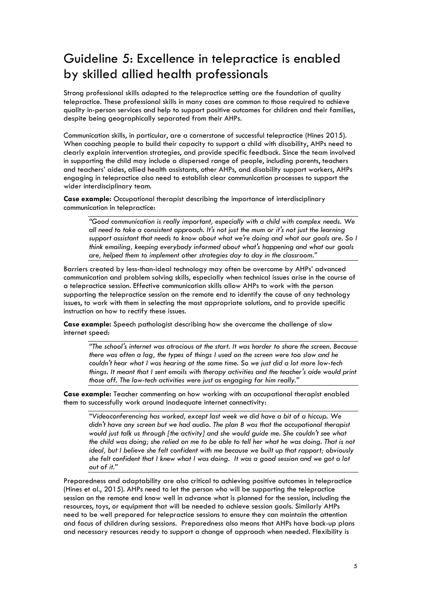# Guideline 5: Excellence in telepractice is enabled by skilled allied health professionals

Strong professional skills adapted to the telepractice setting are the foundation of quality telepractice. These professional skills in many cases are common to those required to achieve quality in-person services and help to support positive outcomes for children and their families, despite being geographically separated from their AHPs.

Communication skills, in particular, are a cornerstone of successful telepractice (Hines 2015). When coaching people to build their capacity to support a child with disability, AHPs need to clearly explain intervention strategies, and provide specific feedback. Since the team involved in supporting the child may include a dispersed range of people, including parents, teachers and teachers' aides, allied health assistants, other AHPs, and disability support workers, AHPs engaging in telepractice also need to establish clear communication processes to support the wider interdisciplinary team.

**Case example:** Occupational therapist describing the importance of interdisciplinary communication in telepractice:

*"Good communication is really important, especially with a child with complex needs. We all need to take a consistent approach. It's not just the mum or it's not just the learning support assistant that needs to know about what we're doing and what our goals are. So I think emailing, keeping everybody informed about what's happening and what our goals are, helped them to implement other strategies day to day in the classroom."*

Barriers created by less-than-ideal technology may often be overcome by AHPs' advanced communication and problem solving skills, especially when technical issues arise in the course of a telepractice session. Effective communication skills allow AHPs to work with the person supporting the telepractice session on the remote end to identify the cause of any technology issues, to work with them in selecting the most appropriate solutions, and to provide specific instruction on how to rectify these issues.

**Case example:** Speech pathologist describing how she overcame the challenge of slow internet speed:

*"The school's internet was atrocious at the start. It was harder to share the screen. Because there was often a lag, the types of things I used on the screen were too slow and he couldn't hear what I was hearing at the same time. So we just did a lot more low-tech things. It meant that I sent emails with therapy activities and the teacher's aide would print those off. The low-tech activities were just as engaging for him really."*

**Case example:** Teacher commenting on how working with an occupational therapist enabled them to successfully work around inadequate internet connectivity:

*"Videoconferencing has worked, except last week we did have a bit of a hiccup. We didn't have any screen but we had audio. The plan B was that the occupational therapist would just talk us through [the activity] and she would guide me. She couldn't see what the child was doing; she relied on me to be able to tell her what he was doing. That is not ideal, but I believe she felt confident with me because we built up that rapport; obviously she felt confident that I knew what I was doing. It was a good session and we got a lot out of it."*

Preparedness and adaptability are also critical to achieving positive outcomes in telepractice (Hines et al., 2015). AHPs need to let the person who will be supporting the telepractice session on the remote end know well in advance what is planned for the session, including the resources, toys, or equipment that will be needed to achieve session goals. Similarly AHPs need to be well prepared for telepractice sessions to ensure they can maintain the attention and focus of children during sessions. Preparedness also means that AHPs have back-up plans and necessary resources ready to support a change of approach when needed. Flexibility is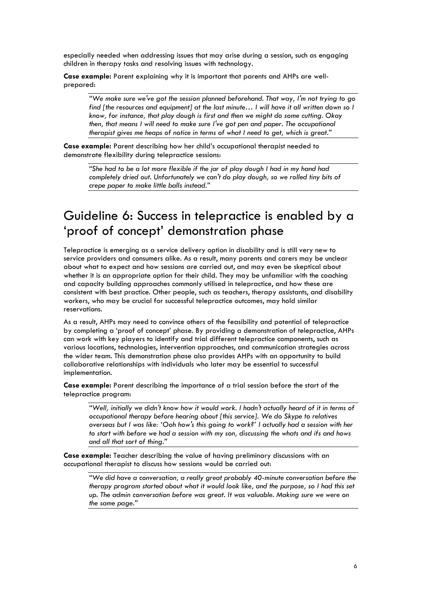especially needed when addressing issues that may arise during a session, such as engaging children in therapy tasks and resolving issues with technology.

**Case example:** Parent explaining why it is important that parents and AHPs are wellprepared:

*"We make sure we've got the session planned beforehand. That way, I'm not trying to go find [the resources and equipment] at the last minute… I will have it all written down so I know, for instance, that play dough is first and then we might do some cutting. Okay then, that means I will need to make sure I've got pen and paper. The occupational therapist gives me heaps of notice in terms of what I need to get, which is great."*

**Case example:** Parent describing how her child's occupational therapist needed to demonstrate flexibility during telepractice sessions:

*"She had to be a lot more flexible if the jar of play dough I had in my hand had completely dried out. Unfortunately we can't do play dough, so we rolled tiny bits of crepe paper to make little balls instead."*

### Guideline 6: Success in telepractice is enabled by a 'proof of concept' demonstration phase

Telepractice is emerging as a service delivery option in disability and is still very new to service providers and consumers alike. As a result, many parents and carers may be unclear about what to expect and how sessions are carried out, and may even be skeptical about whether it is an appropriate option for their child. They may be unfamiliar with the coaching and capacity building approaches commonly utilised in telepractice, and how these are consistent with best practice. Other people, such as teachers, therapy assistants, and disability workers, who may be crucial for successful telepractice outcomes, may hold similar reservations.

As a result, AHPs may need to convince others of the feasibility and potential of telepractice by completing a 'proof of concept' phase. By providing a demonstration of telepractice, AHPs can work with key players to identify and trial different telepractice components, such as various locations, technologies, intervention approaches, and communication strategies across the wider team. This demonstration phase also provides AHPs with an opportunity to build collaborative relationships with individuals who later may be essential to successful implementation.

**Case example:** Parent describing the importance of a trial session before the start of the telepractice program:

*"Well, initially we didn't know how it would work. I hadn't actually heard of it in terms of occupational therapy before hearing about [this service]. We do Skype to relatives overseas but I was like: 'Ooh how's this going to work?' I actually had a session with her to start with before we had a session with my son, discussing the whats and ifs and hows and all that sort of thing."*

**Case example:** Teacher describing the value of having preliminary discussions with an occupational therapist to discuss how sessions would be carried out:

*"We did have a conversation, a really great probably 40-minute conversation before the therapy program started about what it would look like, and the purpose, so I had this set up. The admin conversation before was great. It was valuable. Making sure we were on the same page."*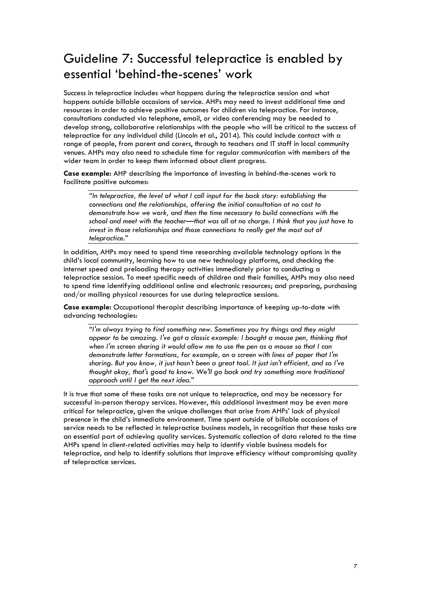# Guideline 7: Successful telepractice is enabled by essential 'behind-the-scenes' work

Success in telepractice includes what happens during the telepractice session and what happens outside billable occasions of service. AHPs may need to invest additional time and resources in order to achieve positive outcomes for children via telepractice. For instance, consultations conducted via telephone, email, or video conferencing may be needed to develop strong, collaborative relationships with the people who will be critical to the success of telepractice for any individual child (Lincoln et al., 2014). This could include contact with a range of people, from parent and carers, through to teachers and IT staff in local community venues. AHPs may also need to schedule time for regular communication with members of the wider team in order to keep them informed about client progress.

**Case example:** AHP describing the importance of investing in behind-the-scenes work to facilitate positive outcomes:

*"In telepractice, the level of what I call input for the back story: establishing the connections and the relationships, offering the initial consultation at no cost to demonstrate how we work, and then the time necessary to build connections with the school and meet with the teacher—that was all at no charge. I think that you just have to invest in those relationships and those connections to really get the most out of telepractice."*

In addition, AHPs may need to spend time researching available technology options in the child's local community, learning how to use new technology platforms, and checking the internet speed and preloading therapy activities immediately prior to conducting a telepractice session. To meet specific needs of children and their families, AHPs may also need to spend time identifying additional online and electronic resources; and preparing, purchasing and/or mailing physical resources for use during telepractice sessions.

**Case example:** Occupational therapist describing importance of keeping up-to-date with advancing technologies:

*"I'm always trying to find something new. Sometimes you try things and they might appear to be amazing. I've got a classic example: I bought a mouse pen, thinking that when I'm screen sharing it would allow me to use the pen as a mouse so that I can demonstrate letter formations, for example, on a screen with lines of paper that I'm sharing. But you know, it just hasn't been a great tool. It just isn't efficient, and so I've thought okay, that's good to know. We'll go back and try something more traditional approach until I get the next idea."*

It is true that some of these tasks are not unique to telepractice, and may be necessary for successful in-person therapy services. However, this additional investment may be even more critical for telepractice, given the unique challenges that arise from AHPs' lack of physical presence in the child's immediate environment. Time spent outside of billable occasions of service needs to be reflected in telepractice business models, in recognition that these tasks are an essential part of achieving quality services. Systematic collection of data related to the time AHPs spend in client-related activities may help to identify viable business models for telepractice, and help to identify solutions that improve efficiency without compromising quality of telepractice services.